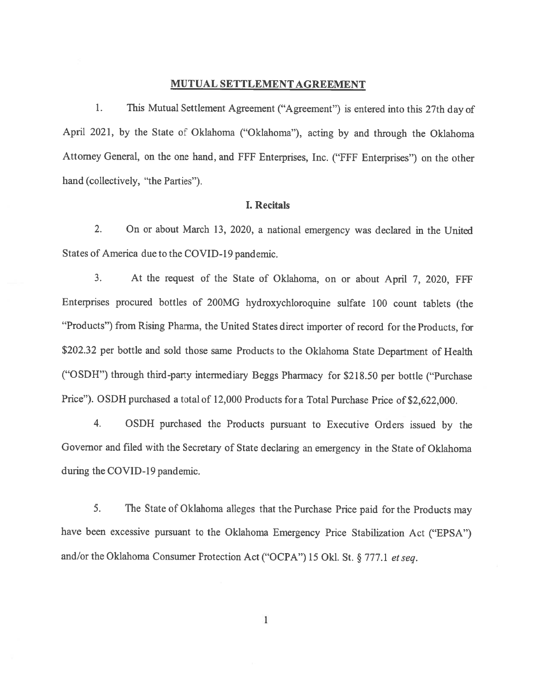## MUTUAL SETTLEMENT AGREEMENT

1. This Mutual Settlement Agreement ("Agreement") is entered into this 27th day of April 2021, by the State of Oklahoma ("Oklahoma"), acting by and through the Oklahoma Attorney General, on the one hand, and FFF Enterprises, Inc. ("FFF Enterprises") on the other hand (collectively, "the Parties").

## I. Recitals

2. On or about March 13, 2020, <sup>a</sup> national emergency was declared in the United States of America due to the COVID-19 pandemic.

3. At the reques<sup>t</sup> of the State of Oklahoma, on or about April 7, 2020, fFF Enterprises procure<sup>d</sup> bottles of 200MG hydroxychloroquine sulfate <sup>100</sup> count tablets (the "Products") from Rising Pharma, the United States direct importer of record for the Products, for \$202.32 per bottle and sold those same Products to the Oklahoma State Department of Health ("OSDH") through third-party intermediary Beggs Pharmacy for \$218.50 per bottle ("Purchase Price"). OSDH purchased <sup>a</sup> total of 12,000 Products fora Total Purchase Price of \$2,622,000.

4. OSDH purchased the Products pursuan<sup>t</sup> to Executive Orders issued by the Governor and filed with the Secretary of State declaring an emergency in the State of Oklahoma during the COVID-19 pandemic.

5. The State of Oklahoma alleges that the Purchase Price paid for the Products may have been excessive pursuan<sup>t</sup> to the Oklahoma Emergency Price Stabilization Act ("EPSA") and/or the Oklahoma Consumer Protection Act ("OCPA") 15 Okl. St. § 777.1 et seq.

 $\mathbf{1}$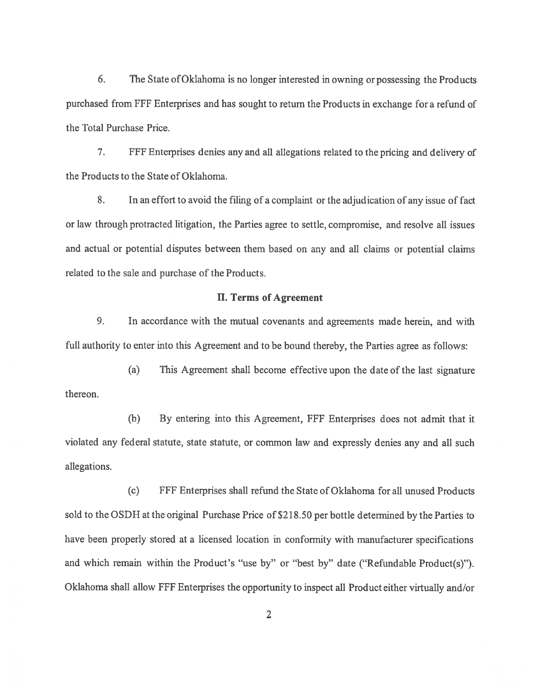6. The State ofOklahoma is no longer interested in owning or possessing the Products purchased from ffF Enterprises and has sought to return the Products in exchange for <sup>a</sup> refund of the Total Purchase Price.

7. ffF Enterprises denies any and all allegations related to the pricing and delivery of the Products to the State of Oklahoma.

8. In an effort to avoid the filing of <sup>a</sup> complaint or the adjudication of any issue of fact or law through protracted litigation, the Parties agree to settle, compromise, and resolve all issues and actual or potential disputes between them based on any and all claims or potential claims related to the sale and purchase of the Products.

## U. Terms of Agreement

9. In accordance with the mutual covenants and agreements made herein, and with full authority to enter into this Agreement and to be bound thereby, the Parties agree as follows:

(a) This Agreement shall become effective upon the date of the last signature thereon.

(b) By entering into this Agreement, FFF Enterprises does not admit that it violated any federal statute, state statute, or common law and expressly denies any and all such allegations.

(c) FFF Enterprises shall refund the State of Oklahoma for all unused Products sold to the OSDH at the original Purchase Price of \$218.50 per bottle determined by the Parties to have been properly stored at <sup>a</sup> licensed location in conformity with manufacturer specifications and which remain within the Product's "use by" or "best by" date ("Refundable Product(s)"). Oklahoma shall allow fFF Enterprises the opportunity to inspect all Product either virtually and/or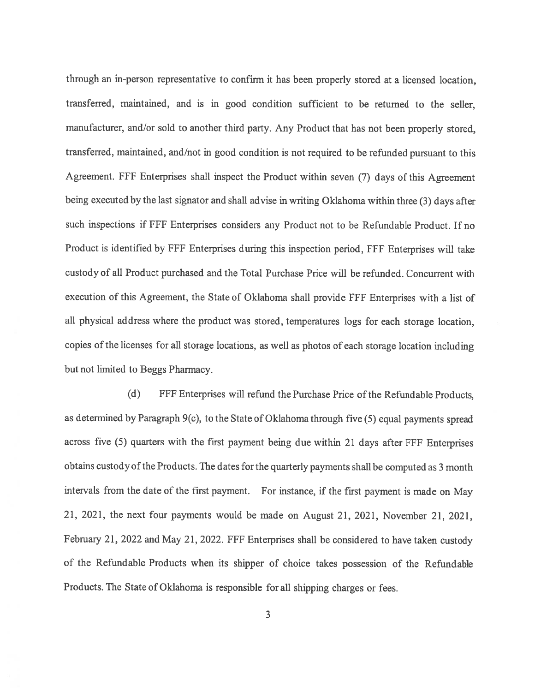through an in-person representative to confirm it has been properly stored at <sup>a</sup> licensed location, transferred, maintained, and is in good condition sufficient to be returned to the seller, manufacturer, and/or sold to another third party. Any Product that has not been properly stored, transferred, maintained, and/not in goo<sup>d</sup> condition is not required to be refunded pursuan<sup>t</sup> to this Agreement. FFf Enterprises shall inspect the Product within seven (7) days of this Agreement being executed by the last signator and shall advise in writing Oklahoma within three (3) days after such inspections if FFF Enterprises considers any Product not to be Refundable Product. If no Product is identified by FFF Enterprises during this inspection period, FFF Enterprises will take custody of all Product purchased and the Total Purchase Price will be refunded. Concurrent with execution of this Agreement, the State of Oklahoma shall provide FFF Enterprises with <sup>a</sup> list of all <sup>p</sup>hysical address where the product was stored, temperatures logs for each storage location, copies of the licenses for all storage locations, as well as <sup>p</sup>hotos of each storage location including but not limited to Beggs Pharmacy.

(d) FFF Enterprises will refund the Purchase Price of the Refundable Products, as determined by Paragraph 9(c), to the State of Oklahoma through five (5) equa<sup>l</sup> payments sprea<sup>d</sup> across five (5) quarters with the first paymen<sup>t</sup> being due within <sup>21</sup> days after FfF Enterprises obtains custody of the Products. The dates for the quarterly payments shall be computed as 3 month intervals from the date of the first payment. For instance, if the first paymen<sup>t</sup> is made on May 21, 2021, the next four payments would be made on August 21, 2021, November 21, 2021, February 21, <sup>2022</sup> and May 21, 2022. FFF Enterprises shall be considered to have taken custody of the Refundable Products when its shipper of choice takes possession of the Refundable Products. The State of Oklahoma is responsible for all shipping charges or fees.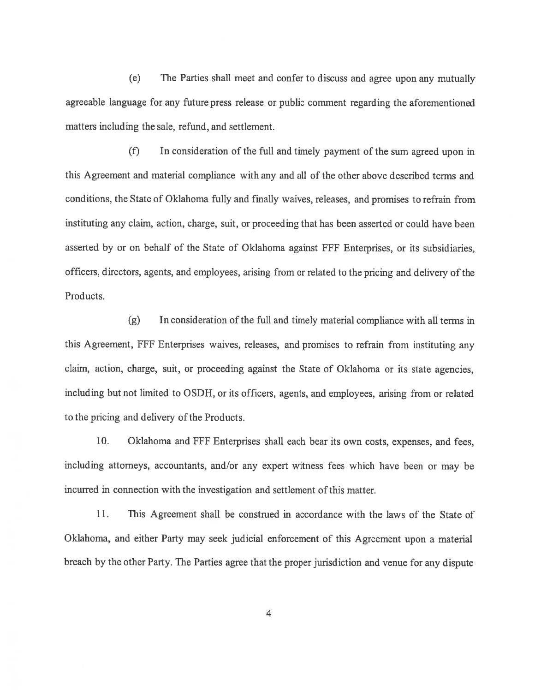(e) The Parties shall meet and confer to discuss and agree upon any mutually agreeable language for any future press release or public comment regarding the aforementioned matters including the sale, refund, and settlement.

(f) In consideration of the full and timely paymen<sup>t</sup> of the sum agreed upon in this Agreement and material compliance with any and all of the other above described terms and conditions, the State of Oklahoma fully and finally waives, releases, and promises to refrain from instituting any claim, action, charge, suit, or proceeding that has been asserted or could have been asserted by or on behalf of the State of Oklahoma against FFF Enterprises, or its subsidiaries, officers, directors, agents, and employees, arising from or related to the pricing and delivery ofthe Products.

 $(g)$  In consideration of the full and timely material compliance with all terms in this Agreement, FFF Enterprises waives, releases, and promises to refrain from instituting any claim, action, charge, suit, or proceeding against the State of Oklahoma or its state agencies, including but not limited to OSDH, or its officers, agents, and employees, arising from or related to the pricing and delivery of the Products.

10. Oklahoma and FFF Enterprises shall each bear its own costs, expenses, and fees, including attorneys, accountants, and/or any exper<sup>t</sup> witness fees which have been or may be incurred in connection with the investigation and settlement of this matter.

11. This Agreement shall be construed in accordance with the laws of the State of Oklahoma, and either Party may seek judicial enforcement of this Agreement upon <sup>a</sup> material breach by the other Party. The Parties agree that the proper jurisdiction and venue for any dispute

4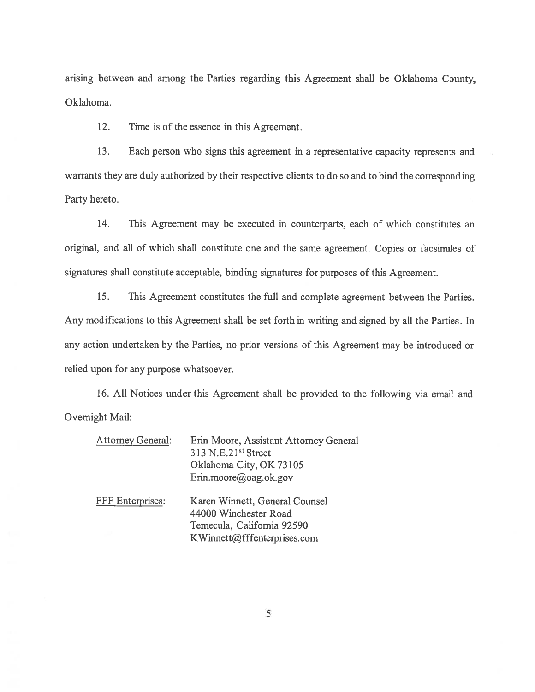arising between and among the Parties regarding this Agreement shall be Oklahoma County, Oklahoma.

12. Time is of the essence in this Agreement.

13. Each person who signs this agreemen<sup>t</sup> in <sup>a</sup> representative capacity represents and warrants they are duly authorized by their respective clients to do so and to bind the corresponding Party hereto.

14. This Agreement may be executed in counterparts, each of which constitutes an original, and all of which shall constitute one and the same agreement. Copies or facsiniiles of signatures shall constitute acceptable, binding signatures for purposes of this Agreement.

15. This Agreement constitutes the full and complete agreemen<sup>t</sup> between the Parties. Any modifications to this Agreement shall be set forth in writing and signed by all the Parties. In any action undertaken by the Parties, no prior versions of this Agreement may be introduced or relied upon for any purpose whatsoever.

16. All Notices under this Agreement shall be provided to the following via email and Overnight Mail:

| <b>Attomey General:</b> | Erin Moore, Assistant Attorney General<br>313 N.E.21 <sup>st</sup> Street<br>Oklahoma City, OK 73105<br>Erin.moore@oag.ok.gov |
|-------------------------|-------------------------------------------------------------------------------------------------------------------------------|
| FFF Enterprises:        | Karen Winnett, General Counsel<br>44000 Winchester Road<br>Temecula, California 92590<br>KWinnett@fffenterprises.com          |